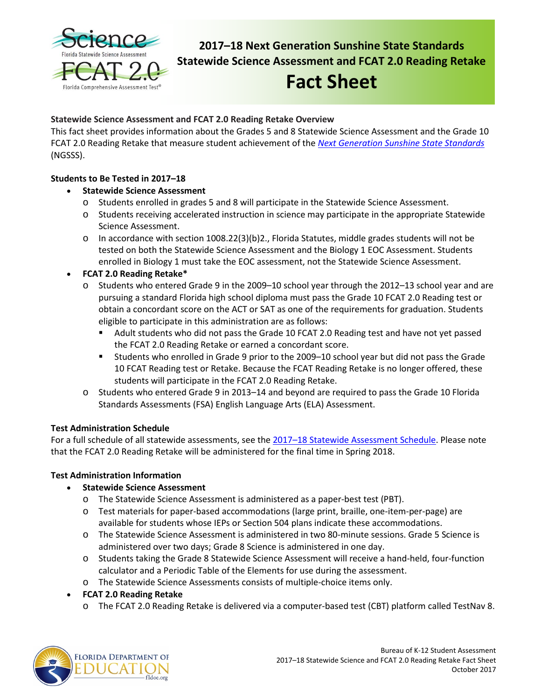

**2017–18 Next Generation Sunshine State Standards Statewide Science Assessment and FCAT 2.0 Reading Retake**

# **Fact Sheet**

# **Statewide Science Assessment and FCAT 2.0 Reading Retake Overview**

This fact sheet provides information about the Grades 5 and 8 Statewide Science Assessment and the Grade 10 FCAT 2.0 Reading Retake that measure student achievement of the *[Next Generation Sunshine State Standards](http://www.cpalms.org/Public/)* (NGSSS).

# **Students to Be Tested in 2017–18**

- **Statewide Science Assessment**
	- o Students enrolled in grades 5 and 8 will participate in the Statewide Science Assessment.
	- o Students receiving accelerated instruction in science may participate in the appropriate Statewide Science Assessment.
	- o In accordance with section 1008.22(3)(b)2., Florida Statutes, middle grades students will not be tested on both the Statewide Science Assessment and the Biology 1 EOC Assessment. Students enrolled in Biology 1 must take the EOC assessment, not the Statewide Science Assessment.
- **FCAT 2.0 Reading Retake\***
	- o Students who entered Grade 9 in the 2009–10 school year through the 2012–13 school year and are pursuing a standard Florida high school diploma must pass the Grade 10 FCAT 2.0 Reading test or obtain a concordant score on the ACT or SAT as one of the requirements for graduation. Students eligible to participate in this administration are as follows:
		- Adult students who did not pass the Grade 10 FCAT 2.0 Reading test and have not yet passed the FCAT 2.0 Reading Retake or earned a concordant score.
		- Students who enrolled in Grade 9 prior to the 2009–10 school year but did not pass the Grade 10 FCAT Reading test or Retake. Because the FCAT Reading Retake is no longer offered, these students will participate in the FCAT 2.0 Reading Retake.
	- o Students who entered Grade 9 in 2013–14 and beyond are required to pass the Grade 10 Florida Standards Assessments (FSA) English Language Arts (ELA) Assessment.

# **Test Administration Schedule**

For a full schedule of all statewide assessments, see the [2017–18 Statewide Assessment Schedule.](https://info.fldoe.org/docushare/dsweb/Get/Document-7972/dps-2017-84a.pdf) Please note that the FCAT 2.0 Reading Retake will be administered for the final time in Spring 2018.

# **Test Administration Information**

- **Statewide Science Assessment**
	- o The Statewide Science Assessment is administered as a paper-best test (PBT).
	- o Test materials for paper-based accommodations (large print, braille, one-item-per-page) are available for students whose IEPs or Section 504 plans indicate these accommodations.
	- o The Statewide Science Assessment is administered in two 80-minute sessions. Grade 5 Science is administered over two days; Grade 8 Science is administered in one day.
	- o Students taking the Grade 8 Statewide Science Assessment will receive a hand-held, four-function calculator and a Periodic Table of the Elements for use during the assessment.
	- o The Statewide Science Assessments consists of multiple-choice items only.

# • **FCAT 2.0 Reading Retake**

o The FCAT 2.0 Reading Retake is delivered via a computer-based test (CBT) platform called TestNav 8.

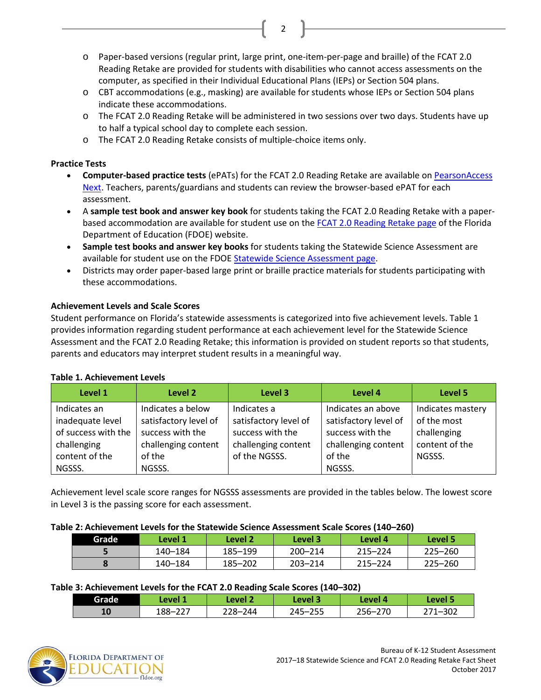o Paper-based versions (regular print, large print, one-item-per-page and braille) of the FCAT 2.0 Reading Retake are provided for students with disabilities who cannot access assessments on the computer, as specified in their Individual Educational Plans (IEPs) or Section 504 plans.

2

- o CBT accommodations (e.g., masking) are available for students whose IEPs or Section 504 plans indicate these accommodations.
- o The FCAT 2.0 Reading Retake will be administered in two sessions over two days. Students have up to half a typical school day to complete each session.
- o The FCAT 2.0 Reading Retake consists of multiple-choice items only.

## **Practice Tests**

- **Computer-based practice tests** (ePATs) for the FCAT 2.0 Reading Retake are available on PearsonAccess [Next.](http://download.pearsonaccessnext.com/fl/fl-practicetest.html?links=true) Teachers, parents/guardians and students can review the browser-based ePAT for each assessment.
- A **sample test book and answer key book** for students taking the FCAT 2.0 Reading Retake with a paperbased accommodation are available for student use on the FCAT 2.0 [Reading Retake page](http://www.fldoe.org/accountability/assessments/k-12-student-assessment/fcat2.stml) of the Florida Department of Education (FDOE) website.
- **Sample test books and answer key books** for students taking the Statewide Science Assessment are available for student use on the FDO[E Statewide Science Assessment page.](http://www.fldoe.org/accountability/assessments/k-12-student-assessment/science.stml)
- Districts may order paper-based large print or braille practice materials for students participating with these accommodations.

# **Achievement Levels and Scale Scores**

Student performance on Florida's statewide assessments is categorized into five achievement levels. Table 1 provides information regarding student performance at each achievement level for the Statewide Science Assessment and the FCAT 2.0 Reading Retake; this information is provided on student reports so that students, parents and educators may interpret student results in a meaningful way.

| Level 1                                                                                  | Level 2                                                                                         | Level 3                                                                                          | Level 4                                                                                          | Level 5                                                                     |
|------------------------------------------------------------------------------------------|-------------------------------------------------------------------------------------------------|--------------------------------------------------------------------------------------------------|--------------------------------------------------------------------------------------------------|-----------------------------------------------------------------------------|
| Indicates an<br>inadequate level<br>of success with the<br>challenging<br>content of the | Indicates a below<br>satisfactory level of<br>success with the<br>challenging content<br>of the | Indicates a<br>satisfactory level of<br>success with the<br>challenging content<br>of the NGSSS. | Indicates an above<br>satisfactory level of<br>success with the<br>challenging content<br>of the | Indicates mastery<br>of the most<br>challenging<br>content of the<br>NGSSS. |
| NGSSS.                                                                                   | NGSSS.                                                                                          |                                                                                                  | NGSSS.                                                                                           |                                                                             |

### **Table 1. Achievement Levels**

Achievement level scale score ranges for NGSSS assessments are provided in the tables below. The lowest score in Level 3 is the passing score for each assessment.

### **Table 2: Achievement Levels for the Statewide Science Assessment Scale Scores (140–260)**

| Grade | Level 1 | Level 2 | Level 3     | Level 4     | Level 5     |
|-------|---------|---------|-------------|-------------|-------------|
|       | 140-184 | 185-199 | $200 - 214$ | $215 - 224$ | $225 - 260$ |
|       | 140-184 | 185–202 | $203 - 214$ | $215 - 224$ | $225 - 260$ |

### **Table 3: Achievement Levels for the FCAT 2.0 Reading Scale Scores (140–302)**

|       |                 | . .     |             |         |               |
|-------|-----------------|---------|-------------|---------|---------------|
| Grade | Level 1         | Level 2 | Level 3     | Level 4 | Level 5       |
| 10    | ່າາ−<br>188-227 | 228-244 | $245 - 255$ | 256-270 | 1–302<br>- מר |